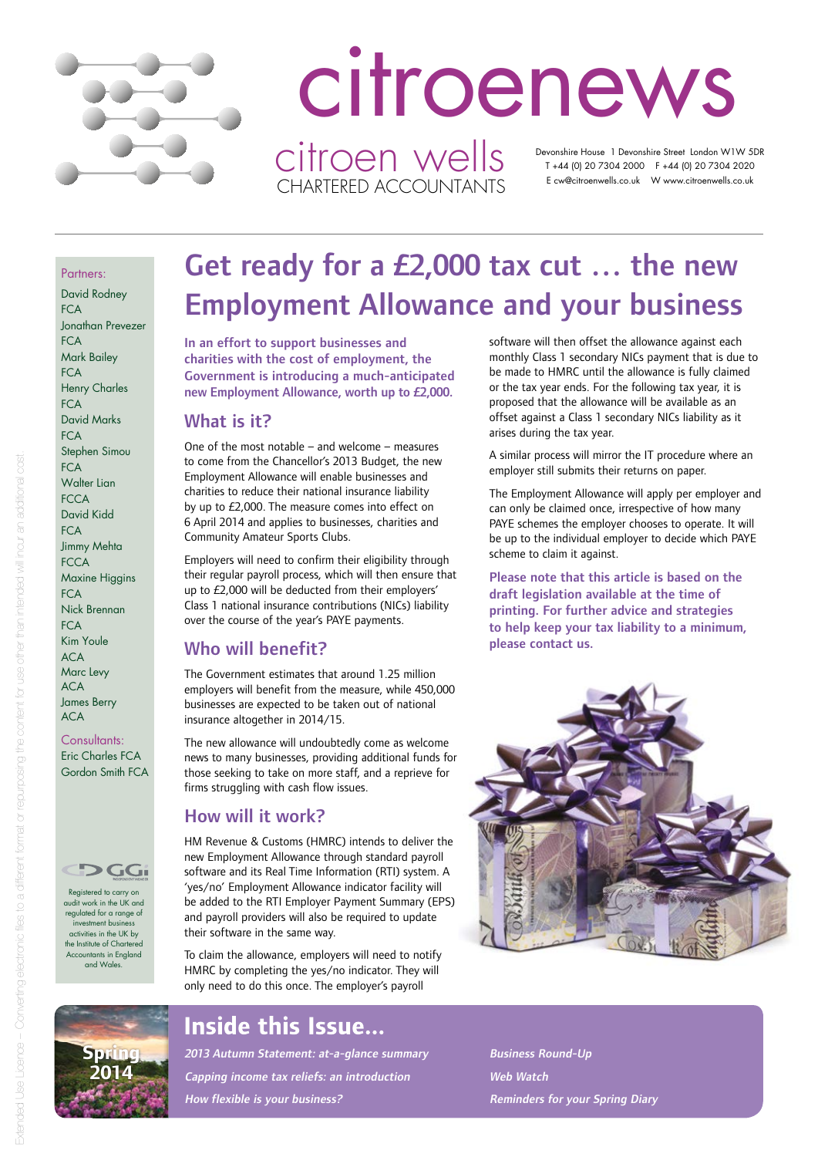

# Devonshire House 1 Devonshire Street London W1W 5DR T +44 (0) 20 7304 2000 F +44 (0) 20 7304 2020 E cw@citroenwells.co.uk W www.citroenwells.co.uk citroenews citroen wells CHARTERED ACCOUNTANTS

Partners:

David Rodney  $FCA$ Jonathan Prevezer **FCA** Mark Bailey  $FCA$ Henry Charles  $FC\Delta$ David Marks **FCA** Stephen Simou **FCA** Walter Lian **FCCA** David Kidd  $FC\Delta$ Jimmy Mehta **FCCA** Maxine Higgins **FCA** Nick Brennan **FCA** Kim Youle ACA Marc Levy ACA James Berry ACA

Consultants: Eric Charles FCA Gordon Smith FCA



Registered to carry on audit work in the UK and regulated for a range of investment business activities in the UK by the Institute of Charte Accountants in England and Wales.

# Employment Allowance and your business

In an effort to support businesses and charities with the cost of employment, the Government is introducing a much-anticipated new Employment Allowance, worth up to £2,000.

### What is it?

One of the most notable – and welcome – measures to come from the Chancellor's 2013 Budget, the new Employment Allowance will enable businesses and charities to reduce their national insurance liability by up to £2,000. The measure comes into effect on 6 April 2014 and applies to businesses, charities and Community Amateur Sports Clubs.

Employers will need to confirm their eligibility through their regular payroll process, which will then ensure that up to £2,000 will be deducted from their employers' Class 1 national insurance contributions (NICs) liability over the course of the year's PAYE payments.

# Who will benefit?

The Government estimates that around 1.25 million employers will benefit from the measure, while 450,000 businesses are expected to be taken out of national insurance altogether in 2014/15.

The new allowance will undoubtedly come as welcome news to many businesses, providing additional funds for those seeking to take on more staff, and a reprieve for firms struggling with cash flow issues.

### How will it work?

HM Revenue & Customs (HMRC) intends to deliver the new Employment Allowance through standard payroll software and its Real Time Information (RTI) system. A 'yes/no' Employment Allowance indicator facility will be added to the RTI Employer Payment Summary (EPS) and payroll providers will also be required to update their software in the same way.

To claim the allowance, employers will need to notify HMRC by completing the yes/no indicator. They will only need to do this once. The employer's payroll

# **Inside this Issue...**

2013 Autumn Statement: at-a-glance summary Capping income tax reliefs: an introduction How flexible is your business?

software will then offset the allowance against each monthly Class 1 secondary NICs payment that is due to be made to HMRC until the allowance is fully claimed or the tax year ends. For the following tax year, it is proposed that the allowance will be available as an offset against a Class 1 secondary NICs liability as it arises during the tax year.

A similar process will mirror the IT procedure where an employer still submits their returns on paper.

The Employment Allowance will apply per employer and can only be claimed once, irrespective of how many PAYE schemes the employer chooses to operate. It will be up to the individual employer to decide which PAYE scheme to claim it against.

Please note that this article is based on the draft legislation available at the time of printing. For further advice and strategies to help keep your tax liability to a minimum, please contact us.



Business Round-Up Web Watch Reminders for your Spring Diary

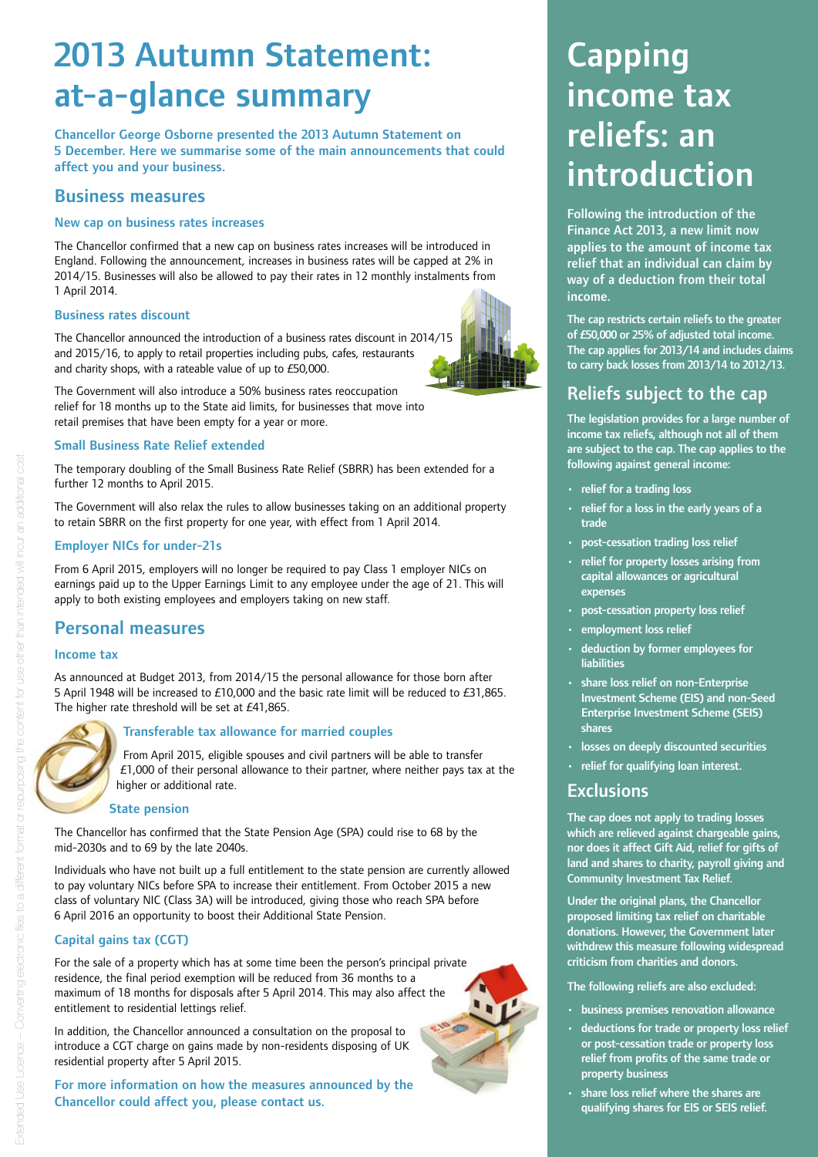# 2013 Autumn Statement: at-a-glance summary

Chancellor George Osborne presented the 2013 Autumn Statement on 5 December. Here we summarise some of the main announcements that could affect you and your business.

### Business measures

#### New cap on business rates increases

The Chancellor confirmed that a new cap on business rates increases will be introduced in England. Following the announcement, increases in business rates will be capped at 2% in 2014/15. Businesses will also be allowed to pay their rates in 12 monthly instalments from 1 April 2014.

#### Business rates discount

The Chancellor announced the introduction of a business rates discount in 2014/15 and 2015/16, to apply to retail properties including pubs, cafes, restaurants and charity shops, with a rateable value of up to £50,000.

The Government will also introduce a 50% business rates reoccupation relief for 18 months up to the State aid limits, for businesses that move into retail premises that have been empty for a year or more.

#### Small Business Rate Relief extended

The temporary doubling of the Small Business Rate Relief (SBRR) has been extended for a further 12 months to April 2015.

The Government will also relax the rules to allow businesses taking on an additional property to retain SBRR on the first property for one year, with effect from 1 April 2014.

#### Employer NICs for under-21s

From 6 April 2015, employers will no longer be required to pay Class 1 employer NICs on earnings paid up to the Upper Earnings Limit to any employee under the age of 21. This will apply to both existing employees and employers taking on new staff.

#### Personal measures

#### Income tax

As announced at Budget 2013, from 2014/15 the personal allowance for those born after 5 April 1948 will be increased to £10,000 and the basic rate limit will be reduced to £31,865. The higher rate threshold will be set at £41,865.



#### Transferable tax allowance for married couples

From April 2015, eligible spouses and civil partners will be able to transfer £1,000 of their personal allowance to their partner, where neither pays tax at the higher or additional rate.

#### State pension

The Chancellor has confirmed that the State Pension Age (SPA) could rise to 68 by the mid‑2030s and to 69 by the late 2040s.

Individuals who have not built up a full entitlement to the state pension are currently allowed to pay voluntary NICs before SPA to increase their entitlement. From October 2015 a new class of voluntary NIC (Class 3A) will be introduced, giving those who reach SPA before 6 April 2016 an opportunity to boost their Additional State Pension.

#### Capital gains tax (CGT)

For the sale of a property which has at some time been the person's principal private residence, the final period exemption will be reduced from 36 months to a maximum of 18 months for disposals after 5 April 2014. This may also affect the entitlement to residential lettings relief.

In addition, the Chancellor announced a consultation on the proposal to introduce a CGT charge on gains made by non-residents disposing of UK residential property after 5 April 2015.

For more information on how the measures announced by the Chancellor could affect you, please contact us.



Following the introduction of the Finance Act 2013, a new limit now applies to the amount of income tax relief that an individual can claim by way of a deduction from their total income.

The cap restricts certain reliefs to the greater of £50,000 or 25% of adjusted total income. The cap applies for 2013/14 and includes claims to carry back losses from 2013/14 to 2012/13.

# Reliefs subject to the cap

The legislation provides for a large number of income tax reliefs, although not all of them are subject to the cap. The cap applies to the following against general income:

- relief for a trading loss
- relief for a loss in the early years of a trade
- post-cessation trading loss relief
- relief for property losses arising from capital allowances or agricultural expenses
- post-cessation property loss relief
- employment loss relief
- deduction by former employees for liabilities
- share loss relief on non-Enterprise Investment Scheme (EIS) and non-Seed Enterprise Investment Scheme (SEIS) shares
- losses on deeply discounted securities
- relief for qualifying loan interest.

#### **Exclusions**

The cap does not apply to trading losses which are relieved against chargeable gains, nor does it affect Gift Aid, relief for gifts of land and shares to charity, payroll giving and Community Investment Tax Relief.

Under the original plans, the Chancellor proposed limiting tax relief on charitable donations. However, the Government later withdrew this measure following widespread criticism from charities and donors.

The following reliefs are also excluded:

- business premises renovation allowance
- deductions for trade or property loss relief or post-cessation trade or property loss relief from profits of the same trade or property business
- share loss relief where the shares are qualifying shares for EIS or SEIS relief.

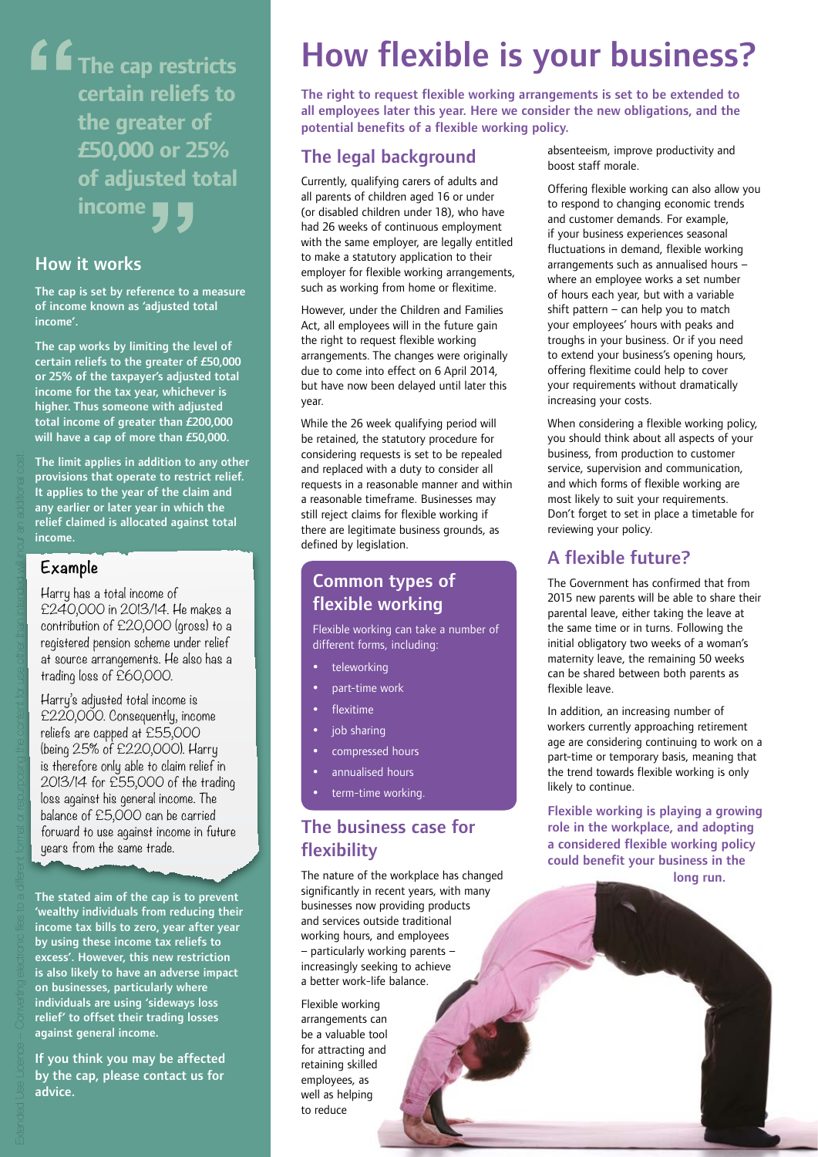**The cap restricts certain reliefs to the greater of £50,000 or 25% of adjusted total income**

### How it works

The cap is set by reference to a measure of income known as 'adjusted total income'.

The cap works by limiting the level of certain reliefs to the greater of £50,000 or 25% of the taxpayer's adjusted total income for the tax year, whichever is higher. Thus someone with adjusted total income of greater than £200,000 will have a cap of more than £50,000.

The limit applies in addition to any other provisions that operate to restrict relief. It applies to the year of the claim and any earlier or later year in which the relief claimed is allocated against total income.

#### **Example**

Harry has a total income of £240,000 in 2013/14. He makes a contribution of £20,000 (gross) to a registered pension scheme under relief at source arrangements. He also has a trading loss of £60,000.

Harry's adjusted total income is £220,000. Consequently, income reliefs are capped at £55,000 (being 25% of £220,000). Harry is therefore only able to claim relief in 2013/14 for £55,000 of the trading loss against his general income. The balance of £5,000 can be carried forward to use against income in future years from the same trade.

The stated aim of the cap is to prevent 'wealthy individuals from reducing their income tax bills to zero, year after year by using these income tax reliefs to excess'. However, this new restriction is also likely to have an adverse impact on businesses, particularly where individuals are using 'sideways loss relief' to offset their trading losses against general income.

If you think you may be affected by the cap, please contact us for advice.

# How flexible is your business?

The right to request flexible working arrangements is set to be extended to all employees later this year. Here we consider the new obligations, and the potential benefits of a flexible working policy.

# The legal background

Currently, qualifying carers of adults and all parents of children aged 16 or under (or disabled children under 18), who have had 26 weeks of continuous employment with the same employer, are legally entitled to make a statutory application to their employer for flexible working arrangements, such as working from home or flexitime.

However, under the Children and Families Act, all employees will in the future gain the right to request flexible working arrangements. The changes were originally due to come into effect on 6 April 2014, but have now been delayed until later this year.

While the 26 week qualifying period will be retained, the statutory procedure for considering requests is set to be repealed and replaced with a duty to consider all requests in a reasonable manner and within a reasonable timeframe. Businesses may still reject claims for flexible working if there are legitimate business grounds, as defined by legislation.

# Common types of flexible working

Flexible working can take a number of different forms, including:

- teleworking
- part‑time work
- flexitime
- job sharing
- compressed hours
- annualised hours
- term-time working.

# The business case for flexibility

The nature of the workplace has changed significantly in recent years, with many businesses now providing products and services outside traditional working hours, and employees – particularly working parents – increasingly seeking to achieve a better work‑life balance.

Flexible working arrangements can be a valuable tool for attracting and retaining skilled employees, as well as helping to reduce

absenteeism, improve productivity and boost staff morale.

Offering flexible working can also allow you to respond to changing economic trends and customer demands. For example, if your business experiences seasonal fluctuations in demand, flexible working arrangements such as annualised hours – where an employee works a set number of hours each year, but with a variable shift pattern – can help you to match your employees' hours with peaks and troughs in your business. Or if you need to extend your business's opening hours, offering flexitime could help to cover your requirements without dramatically increasing your costs.

When considering a flexible working policy, you should think about all aspects of your business, from production to customer service, supervision and communication, and which forms of flexible working are most likely to suit your requirements. Don't forget to set in place a timetable for reviewing your policy.

# A flexible future?

The Government has confirmed that from 2015 new parents will be able to share their parental leave, either taking the leave at the same time or in turns. Following the initial obligatory two weeks of a woman's maternity leave, the remaining 50 weeks can be shared between both parents as flexible leave.

In addition, an increasing number of workers currently approaching retirement age are considering continuing to work on a part-time or temporary basis, meaning that the trend towards flexible working is only likely to continue.

Flexible working is playing a growing role in the workplace, and adopting a considered flexible working policy could benefit your business in the long run.